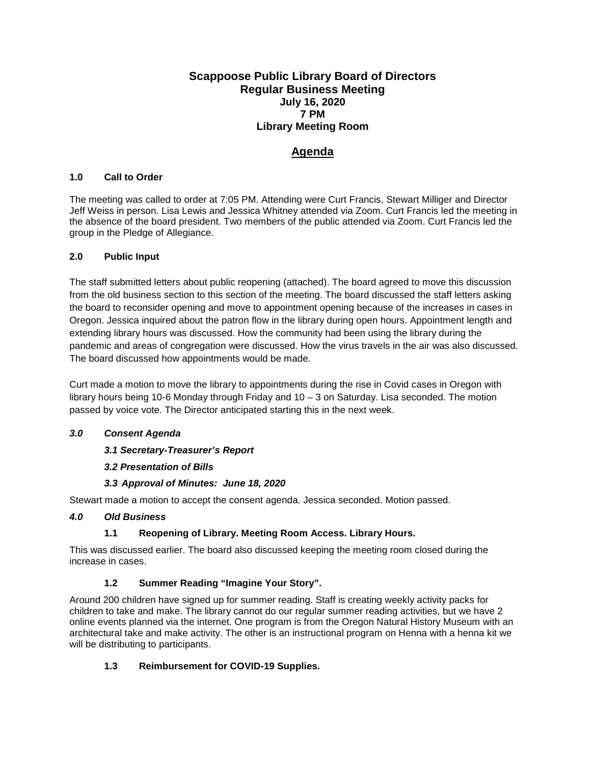### **Scappoose Public Library Board of Directors Regular Business Meeting July 16, 2020 7 PM Library Meeting Room**

# **Agenda**

### **1.0 Call to Order**

The meeting was called to order at 7:05 PM. Attending were Curt Francis, Stewart Milliger and Director Jeff Weiss in person. Lisa Lewis and Jessica Whitney attended via Zoom. Curt Francis led the meeting in the absence of the board president. Two members of the public attended via Zoom. Curt Francis led the group in the Pledge of Allegiance.

#### **2.0 Public Input**

The staff submitted letters about public reopening (attached). The board agreed to move this discussion from the old business section to this section of the meeting. The board discussed the staff letters asking the board to reconsider opening and move to appointment opening because of the increases in cases in Oregon. Jessica inquired about the patron flow in the library during open hours. Appointment length and extending library hours was discussed. How the community had been using the library during the pandemic and areas of congregation were discussed. How the virus travels in the air was also discussed. The board discussed how appointments would be made.

Curt made a motion to move the library to appointments during the rise in Covid cases in Oregon with library hours being 10-6 Monday through Friday and 10 – 3 on Saturday. Lisa seconded. The motion passed by voice vote. The Director anticipated starting this in the next week.

#### *3.0 Consent Agenda*

### *3.1 Secretary-Treasurer's Report*

### *3.2 Presentation of Bills*

### *3.3 Approval of Minutes: June 18, 2020*

Stewart made a motion to accept the consent agenda. Jessica seconded. Motion passed.

#### *4.0 Old Business*

### **1.1 Reopening of Library. Meeting Room Access. Library Hours.**

This was discussed earlier. The board also discussed keeping the meeting room closed during the increase in cases.

### **1.2 Summer Reading "Imagine Your Story".**

Around 200 children have signed up for summer reading. Staff is creating weekly activity packs for children to take and make. The library cannot do our regular summer reading activities, but we have 2 online events planned via the internet. One program is from the Oregon Natural History Museum with an architectural take and make activity. The other is an instructional program on Henna with a henna kit we will be distributing to participants.

### **1.3 Reimbursement for COVID-19 Supplies.**